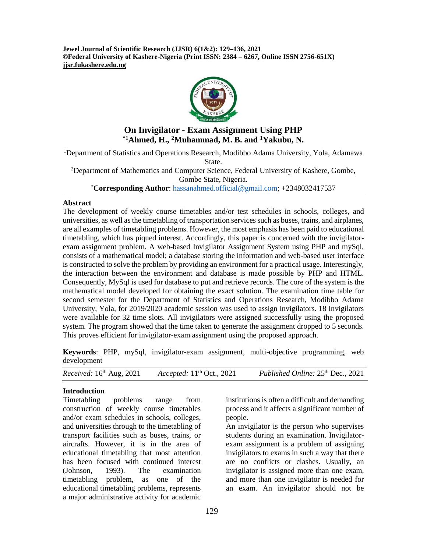**Jewel Journal of Scientific Research (JJSR) 6(1&2): 129–136, 2021 ©Federal University of Kashere-Nigeria (Print ISSN: 2384 – 6267, Online ISSN 2756-651X) jjsr.fukashere.edu.ng**



# **On Invigilator - Exam Assignment Using PHP \*1Ahmed, H., <sup>2</sup>Muhammad, M. B. and <sup>1</sup>Yakubu, N.**

<sup>1</sup>Department of Statistics and Operations Research, Modibbo Adama University, Yola, Adamawa State.

<sup>2</sup>Department of Mathematics and Computer Science, Federal University of Kashere, Gombe, Gombe State, Nigeria.

\***Corresponding Author**: [hassanahmed.official@gmail.com;](mailto:hassanahmed.official@gmail.com) +2348032417537

#### **Abstract**

The development of weekly course timetables and/or test schedules in schools, colleges, and universities, as well as the timetabling of transportation services such as buses, trains, and airplanes, are all examples of timetabling problems. However, the most emphasis has been paid to educational timetabling, which has piqued interest. Accordingly, this paper is concerned with the invigilatorexam assignment problem. A web-based Invigilator Assignment System using PHP and mySql, consists of a mathematical model; a database storing the information and web-based user interface is constructed to solve the problem by providing an environment for a practical usage. Interestingly, the interaction between the environment and database is made possible by PHP and HTML. Consequently, MySql is used for database to put and retrieve records. The core of the system is the mathematical model developed for obtaining the exact solution. The examination time table for second semester for the Department of Statistics and Operations Research, Modibbo Adama University, Yola, for 2019/2020 academic session was used to assign invigilators. 18 Invigilators were available for 32 time slots. All invigilators were assigned successfully using the proposed system. The program showed that the time taken to generate the assignment dropped to 5 seconds. This proves efficient for invigilator-exam assignment using the proposed approach.

**Keywords**: PHP, mySql, invigilator-exam assignment, multi-objective programming, web development

| Received: $16th$ Aug, 2021 | Accepted: $11th$ Oct., 2021 | Published Online: 25 <sup>th</sup> Dec., 2021 |
|----------------------------|-----------------------------|-----------------------------------------------|
|----------------------------|-----------------------------|-----------------------------------------------|

# **Introduction**

Timetabling problems range from construction of weekly course timetables and/or exam schedules in schools, colleges, and universities through to the timetabling of transport facilities such as buses, trains, or aircrafts. However, it is in the area of educational timetabling that most attention has been focused with continued interest (Johnson, 1993). The examination timetabling problem, as one of the educational timetabling problems, represents a major administrative activity for academic

institutions is often a difficult and demanding process and it affects a significant number of people.

An invigilator is the person who supervises students during an examination. Invigilatorexam assignment is a problem of assigning invigilators to exams in such a way that there are no conflicts or clashes. Usually, an invigilator is assigned more than one exam, and more than one invigilator is needed for an exam. An invigilator should not be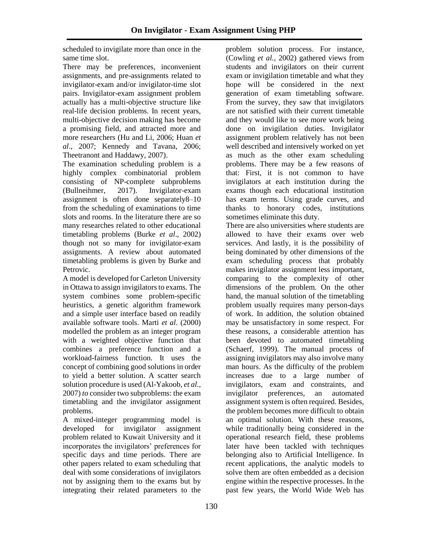scheduled to invigilate more than once in the same time slot.

There may be preferences, inconvenient assignments, and pre-assignments related to invigilator-exam and/or invigilator-time slot pairs. Invigilator-exam assignment problem actually has a multi-objective structure like real-life decision problems. In recent years, multi-objective decision making has become a promising field, and attracted more and more researchers (Hu and Li, 2006; Huan *et al*., 2007; Kennedy and Tavana, 2006; Theetranont and Haddawy, 2007).

The examination scheduling problem is a highly complex combinatorial problem consisting of NP-complete subproblems (Bullneihmer, 2017). Invigilator-exam assignment is often done separately8–10 from the scheduling of examinations to time slots and rooms. In the literature there are so many researches related to other educational timetabling problems (Burke *et al*., 2002) though not so many for invigilator-exam assignments. A review about automated timetabling problems is given by Burke and Petrovic.

A model is developed for Carleton University in Ottawa to assign invigilators to exams. The system combines some problem-specific heuristics, a genetic algorithm framework and a simple user interface based on readily available software tools. Marti *et al.* (2000) modelled the problem as an integer program with a weighted objective function that combines a preference function and a workload-fairness function. It uses the concept of combining good solutions in order to yield a better solution. A scatter search solution procedure is used (Al-Yakoob, *et al.,*  2007) *to* consider two subproblems: the exam timetabling and the invigilator assignment problems.

A mixed-integer programming model is developed for invigilator assignment problem related to Kuwait University and it incorporates the invigilators' preferences for specific days and time periods. There are other papers related to exam scheduling that deal with some considerations of invigilators not by assigning them to the exams but by integrating their related parameters to the

problem solution process. For instance, (Cowling *et al.*, 2002) gathered views from students and invigilators on their current exam or invigilation timetable and what they hope will be considered in the next generation of exam timetabling software. From the survey, they saw that invigilators are not satisfied with their current timetable and they would like to see more work being done on invigilation duties. Invigilator assignment problem relatively has not been well described and intensively worked on yet as much as the other exam scheduling problems. There may be a few reasons of that: First, it is not common to have invigilators at each institution during the exams though each educational institution has exam terms. Using grade curves, and thanks to honorary codes, institutions sometimes eliminate this duty.

There are also universities where students are allowed to have their exams over web services. And lastly, it is the possibility of being dominated by other dimensions of the exam scheduling process that probably makes invigilator assignment less important, comparing to the complexity of other dimensions of the problem. On the other hand, the manual solution of the timetabling problem usually requires many person-days of work. In addition, the solution obtained may be unsatisfactory in some respect. For these reasons, a considerable attention has been devoted to automated timetabling (Schaerf, 1999). The manual process of assigning invigilators may also involve many man hours. As the difficulty of the problem increases due to a large number of invigilators, exam and constraints, and invigilator preferences, an automated assignment system is often required. Besides, the problem becomes more difficult to obtain an optimal solution. With these reasons, while traditionally being considered in the operational research field, these problems later have been tackled with techniques belonging also to Artificial Intelligence. In recent applications, the analytic models to solve them are often embedded as a decision engine within the respective processes. In the past few years, the World Wide Web has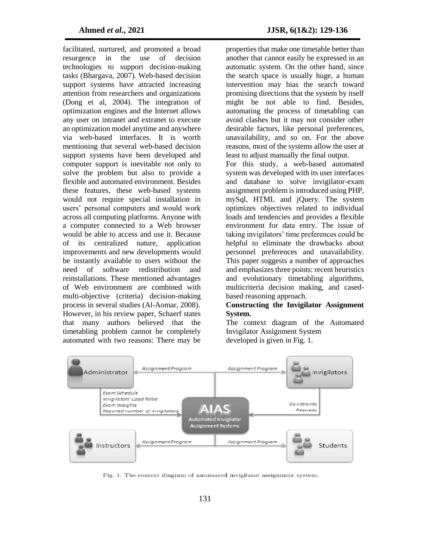facilitated, nurtured, and promoted a broad resurgence in the use of decision technologies to support decision-making tasks (Bhargava, 2007). Web-based decision support systems have attracted increasing attention from researchers and organizations (Dong et al, 2004). The integration of optimization engines and the Internet allows any user on intranet and extranet to execute an optimization model anytime and anywhere via web-based interfaces. It is worth mentioning that several web-based decision support systems have been developed and computer support is inevitable not only to solve the problem but also to provide a flexible and automated environment. Besides these features, these web-based systems would not require special installation in users' personal computers and would work across all computing platforms. Anyone with a computer connected to a Web browser would be able to access and use it. Because of its centralized nature, application improvements and new developments would be instantly available to users without the need of software redistribution and reinstallations. These mentioned advantages of Web environment are combined with multi-objective (criteria) decision-making process in several studies (Al-Aomar, 2008). However, in his review paper, Schaerf states that many authors believed that the timetabling problem cannot be completely automated with two reasons: There may be

properties that make one timetable better than another that cannot easily be expressed in an automatic system. On the other hand, since the search space is usually huge, a human intervention may bias the search toward promising directions that the system by itself might be not able to find. Besides, automating the process of timetabling can avoid clashes but it may not consider other desirable factors, like personal preferences, unavailability, and so on. For the above reasons, most of the systems allow the user at least to adjust manually the final output.

For this study, a web-based automated system was developed with its user interfaces and database to solve invigilator-exam assignment problem is introduced using PHP, mySql, HTML and jQuery. The system optimizes objectives related to individual loads and tendencies and provides a flexible environment for data entry. The issue of taking invigilators' time preferences could be helpful to eliminate the drawbacks about personnel preferences and unavailability. This paper suggests a number of approaches and emphasizes three points: recent heuristics and evolutionary timetabling algorithms, multicriteria decision making, and casedbased reasoning approach.

# **Constructing the Invigilator Assignment System.**

The context diagram of the Automated Invigilator Assignment System developed is given in Fig. 1.



Fig. 1. The context diagram of automated invigilator assignment system.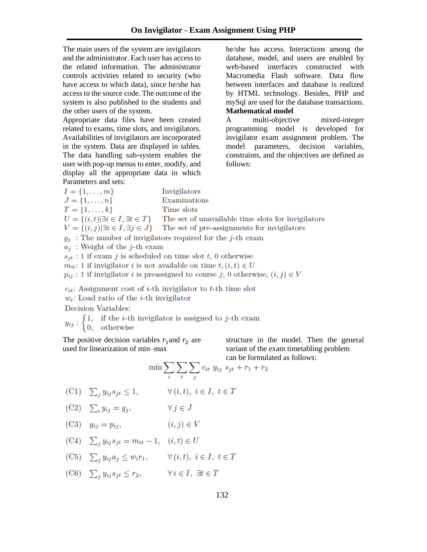The main users of the system are invigilators and the administrator. Each user has access to the related information. The administrator controls activities related to security (who have access to which data), since he/she has access to the source code. The outcome of the system is also published to the students and the other users of the system.

Appropriate data files have been created related to exams, time slots, and invigilators. Availabilities of invigilators are incorporated in the system. Data are displayed in tables. The data handling sub-system enables the user with pop-up menus to enter, modify, and display all the appropriate data in which Parameters and sets:

he/she has access. Interactions among the database, model, and users are enabled by web-based interfaces constructed with Macromedia Flash software. Data flow between interfaces and database is realized by HTML technology. Besides, PHP and mySql are used for the database transactions. **Mathematical model**

A multi-objective mixed-integer programming model is developed for invigilator exam assignment problem. The model parameters, decision variables, constraints, and the objectives are defined as follows:

| $I = \{1, \ldots, m\}$                              | Invigilators                                                  |
|-----------------------------------------------------|---------------------------------------------------------------|
| $J = \{1, \ldots, n\}$                              | Examinations                                                  |
| $T = \{1, \ldots, k\}$                              | Time slots                                                    |
| $U = \{(i, t)   \exists i \in I, \exists t \in T\}$ | The set of unavailable time slots for invigilators            |
| $V = \{(i, j)   \exists i \in I, \exists j \in J\}$ | The set of pre-assignments for invigilators                   |
|                                                     | $g_i$ : The number of invigilators required for the j-th exam |
| $a_i$ : Weight of the j-th exam                     |                                                               |
|                                                     |                                                               |

 $s_{jt}$ : 1 if exam j is scheduled on time slot t, 0 otherwise

 $m_{it}: 1$  if invigilator *i* is not available on time  $t, (i, t) \in U$ 

 $p_{ij}: 1$  if invigilator *i* is preassigned to course *j*; 0 otherwise,  $(i, j) \in V$ 

 $c_{it}$ : Assignment cost of *i*-th invigilator to *t*-th time slot

 $w_i$ : Load ratio of the *i*-th invigilator

Decision Variables:

 $y_{ij}$ :  $\begin{cases} 1, & \text{if the } i\text{-th } \text{invigilator is assigned to } j\text{-th } \text{exam} \\ 0, & \text{otherwise} \end{cases}$ 

The positive decision variables  $r_1$  and  $r_2$  are used for linearization of min–max

structure in the model. Then the general variant of the exam timetabling problem can be formulated as follows:

$$
\min \sum_{i} \sum_{t} \sum_{j} c_{it} y_{ij} s_{jt} + r_1 + r_2
$$

$$
(C1) \quad \sum_{i} y_{ij} s_{jt} \le 1, \qquad \forall (i, t), i \in I, t \in T
$$

(C2)  $\sum_i y_{ij} = g_j$ ,  $\forall\,j\in J$ 

(C3) 
$$
y_{ij} = p_{ij}
$$
,  $(i, j) \in V$ 

$$
(C4) \quad \sum_{j} y_{ij} s_{jt} = m_{it} - 1, \quad (i, t) \in U
$$

- (C5)  $\sum_j y_{ij} a_j \leq w_i r_1, \qquad \forall (i, t), i \in I, t \in T$
- (C6)  $\sum_j y_{ij} s_{jt} \leq r_2$ ,  $\forall i \in I, \exists t \in T$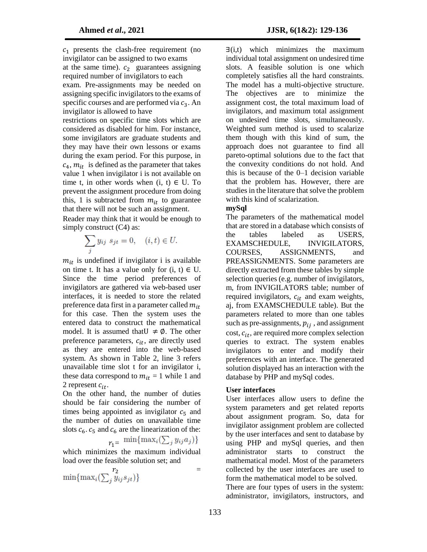$c_1$  presents the clash-free requirement (no invigilator can be assigned to two exams at the same time).  $c_2$  guarantees assigning required number of invigilators to each exam. Pre-assignments may be needed on assigning specific invigilators to the exams of specific courses and are performed via  $c_3$ . An invigilator is allowed to have

restrictions on specific time slots which are considered as disabled for him. For instance, some invigilators are graduate students and they may have their own lessons or exams during the exam period. For this purpose, in  $c_4$ ,  $m_{it}$  is defined as the parameter that takes value 1 when invigilator i is not available on time t, in other words when  $(i, t) \in U$ . To prevent the assignment procedure from doing this, 1 is subtracted from  $m_{it}$  to guarantee that there will not be such an assignment.

Reader may think that it would be enough to simply construct  $(C4)$  as:

$$
\sum_j y_{ij} s_{jt} = 0, \quad (i, t) \in U.
$$

 $m_{it}$  is undefined if invigilator i is available on time t. It has a value only for  $(i, t) \in U$ . Since the time period preferences of invigilators are gathered via web-based user interfaces, it is needed to store the related preference data first in a parameter called  $m_{it}$ for this case. Then the system uses the entered data to construct the mathematical model. It is assumed that  $\psi \neq \emptyset$ . The other preference parameters,  $c_{it}$ , are directly used as they are entered into the web-based system. As shown in Table 2, line 3 refers unavailable time slot t for an invigilator i, these data correspond to  $m_{it} = 1$  while 1 and 2 represent  $c_{it}$ .

On the other hand, the number of duties should be fair considering the number of times being appointed as invigilator  $c_5$  and the number of duties on unavailable time slots  $c_6$ .  $c_5$  and  $c_6$  are the linearization of the:

$$
r_1 = \min\{\max_i(\sum_j y_{ij} a_j)\}\
$$

which minimizes the maximum individual load over the feasible solution set; and

$$
\min\{\max_i(\textstyle\sum_j y_{ij} s_{jt})\} =
$$

 $\exists$ (i,t) which minimizes the maximum individual total assignment on undesired time slots. A feasible solution is one which completely satisfies all the hard constraints. The model has a multi-objective structure. The objectives are to minimize the assignment cost, the total maximum load of invigilators, and maximum total assignment on undesired time slots, simultaneously. Weighted sum method is used to scalarize them though with this kind of sum, the approach does not guarantee to find all pareto-optimal solutions due to the fact that the convexity conditions do not hold. And this is because of the 0–1 decision variable that the problem has. However, there are studies in the literature that solve the problem with this kind of scalarization.

#### **mySql**

The parameters of the mathematical model that are stored in a database which consists of the tables labeled as USERS, EXAMSCHEDULE, INVIGILATORS, COURSES, ASSIGNMENTS, and PREASSIGNMENTS. Some parameters are directly extracted from these tables by simple selection queries (e.g. number of invigilators, m, from INVIGILATORS table; number of required invigilators,  $c_{it}$  and exam weights, aj, from EXAMSCHEDULE table). But the parameters related to more than one tables such as pre-assignments,  $p_{ij}$ , and assignment cost,  $c_{it}$ , are required more complex selection queries to extract. The system enables invigilators to enter and modify their preferences with an interface. The generated solution displayed has an interaction with the database by PHP and mySql codes.

#### **User interfaces**

User interfaces allow users to define the system parameters and get related reports about assignment program. So, data for invigilator assignment problem are collected by the user interfaces and sent to database by using PHP and mySql queries, and then administrator starts to construct the mathematical model. Most of the parameters collected by the user interfaces are used to form the mathematical model to be solved.

There are four types of users in the system: administrator, invigilators, instructors, and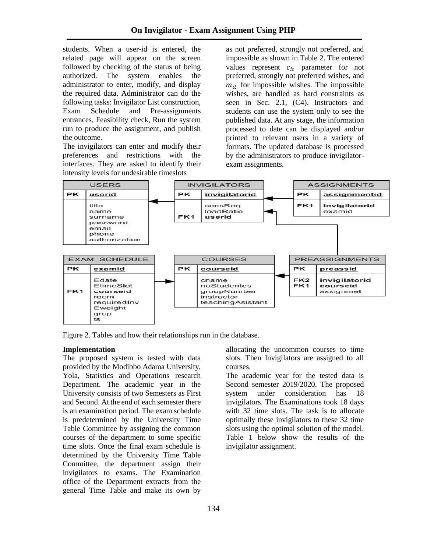students. When a user-id is entered, the related page will appear on the screen followed by checking of the status of being authorized. The system enables the administrator to enter, modify, and display the required data. Administrator can do the following tasks: Invigilator List construction, Exam Schedule and Pre-assignments entrances, Feasibility check, Run the system run to produce the assignment, and publish the outcome.

The invigilators can enter and modify their preferences and restrictions with the interfaces. They are asked to identify their intensity levels for undesirable timeslots

as not preferred, strongly not preferred, and impossible as shown in Table 2. The entered values represent  $c_{it}$  parameter for not preferred, strongly not preferred wishes, and  $m_{it}$  for impossible wishes. The impossible wishes, are handled as hard constraints as seen in Sec. 2.1, (C4). Instructors and students can use the system only to see the published data. At any stage, the information processed to date can be displayed and/or printed to relevant users in a variety of formats. The updated database is processed by the administrators to produce invigilatorexam assignments.



Figure 2. Tables and how their relationships run in the database.

# **Implementation**

The proposed system is tested with data provided by the Modibbo Adama University, Yola, Statistics and Operations research Department. The academic year in the University consists of two Semesters as First and Second. At the end of each semester there is an examination period. The exam schedule is predetermined by the University Time Table Committee by assigning the common courses of the department to some specific time slots. Once the final exam schedule is determined by the University Time Table Committee, the department assign their invigilators to exams. The Examination office of the Department extracts from the general Time Table and make its own by

allocating the uncommon courses to time slots. Then Invigilators are assigned to all courses.

The academic year for the tested data is Second semester 2019/2020. The proposed system under consideration has 18 invigilators. The Examinations took 18 days with 32 time slots. The task is to allocate optimally these invigilators to these 32 time slots using the optimal solution of the model. Table 1 below show the results of the invigilator assignment.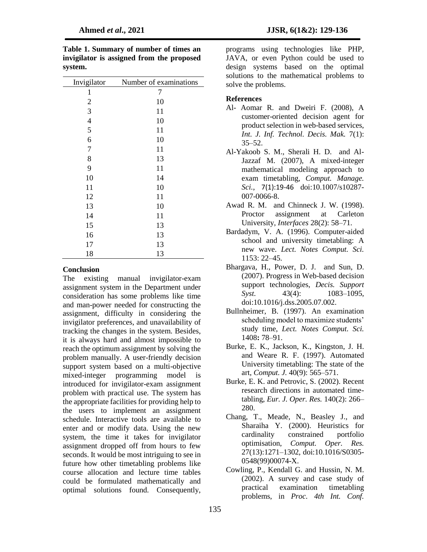| Invigilator              | Number of examinations |
|--------------------------|------------------------|
| 1                        | 7                      |
| $\overline{2}$           | 10                     |
| 3                        | 11                     |
| $\overline{\mathcal{L}}$ | 10                     |
| 5                        | 11                     |
| 6                        | 10                     |
| 7                        | 11                     |
| 8                        | 13                     |
| 9                        | 11                     |
| 10                       | 14                     |
| 11                       | 10                     |
| 12                       | 11                     |
| 13                       | 10                     |
| 14                       | 11                     |
| 15                       | 13                     |
| 16                       | 13                     |
| 17                       | 13                     |
| 18                       | 13                     |

**Table 1. Summary of number of times an invigilator is assigned from the proposed system.** 

# **Conclusion**

The existing manual invigilator-exam assignment system in the Department under consideration has some problems like time and man-power needed for constructing the assignment, difficulty in considering the invigilator preferences, and unavailability of tracking the changes in the system. Besides, it is always hard and almost impossible to reach the optimum assignment by solving the problem manually. A user-friendly decision support system based on a multi-objective mixed-integer programming model is introduced for invigilator-exam assignment problem with practical use. The system has the appropriate facilities for providing help to the users to implement an assignment schedule. Interactive tools are available to enter and or modify data. Using the new system, the time it takes for invigilator assignment dropped off from hours to few seconds. It would be most intriguing to see in future how other timetabling problems like course allocation and lecture time tables could be formulated mathematically and optimal solutions found. Consequently,

programs using technologies like PHP, JAVA, or even Python could be used to design systems based on the optimal solutions to the mathematical problems to solve the problems.

#### **References**

- Al- Aomar R. and Dweiri F. (2008), A customer-oriented decision agent for product selection in web-based services, *Int. J. Inf. Technol. Decis. Mak.* 7(1):  $35 - 52$ .
- Al-Yakoob S. M., Sherali H. D. and Al-Jazzaf M. (2007), A mixed-integer mathematical modeling approach to exam timetabling, *Comput. Manage. Sci.*, 7(1):19-46 doi:10.1007/s10287- 007-0066-8.
- Awad R. M. and Chinneck J. W. (1998). Proctor assignment at Carleton University, *Interfaces* 28(2): 58–71.
- Bardadym, V. A. (1996). Computer-aided school and university timetabling: A new wave. *Lect. Notes Comput. Sci.*  1153: 22–45.
- Bhargava, H., Power, D. J. and Sun, D. (2007). Progress in Web-based decision support technologies, *Decis. Support Syst.* 43(4): 1083–1095, doi:10.1016/j.dss.2005.07.002.
- Bullnheimer, B. (1997). An examination scheduling model to maximize students' study time, *Lect. Notes Comput. Sci.*  1408**:** 78–91.
- Burke, E. K., Jackson, K., Kingston, J. H. and Weare R. F. (1997). Automated University timetabling: The state of the art, *Comput. J.* 40(9): 565–571.
- Burke, E. K. and Petrovic, S. (2002). Recent research directions in automated timetabling, *Eur. J. Oper. Res.* 140(2): 266– 280.
- Chang, T., Meade, N., Beasley J., and Sharaiha Y. (2000). Heuristics for cardinality constrained portfolio optimisation, *Comput. Oper. Res.*  27(13):1271–1302, doi:10.1016/S0305- 0548(99)00074-X.
- Cowling, P., Kendall G. and Hussin, N. M. (2002). A survey and case study of practical examination timetabling problems, in *Proc. 4th Int. Conf.*